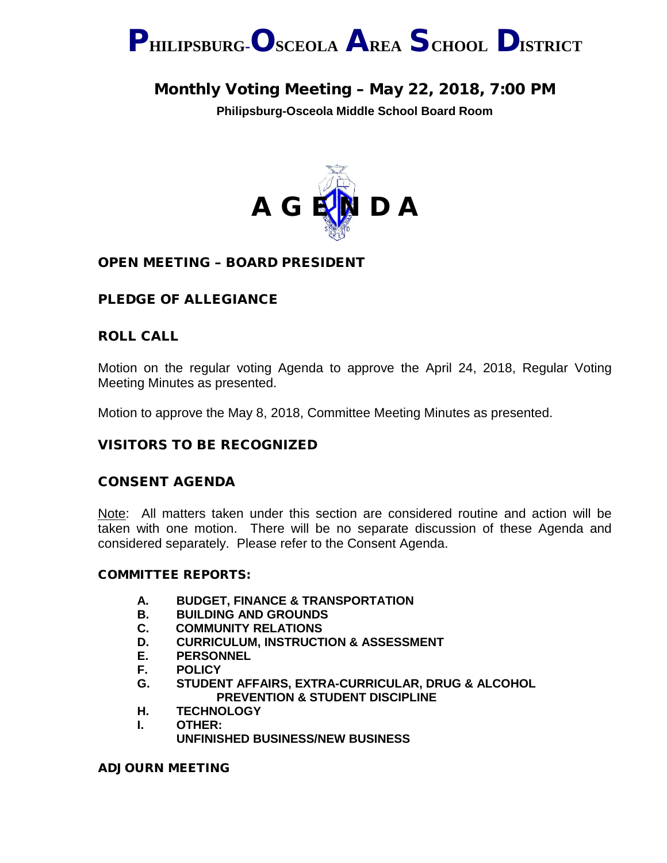

# Monthly Voting Meeting – May 22, 2018, 7:00 PM

**Philipsburg-Osceola Middle School Board Room**



## OPEN MEETING – BOARD PRESIDENT

## PLEDGE OF ALLEGIANCE

### ROLL CALL

Motion on the regular voting Agenda to approve the April 24, 2018, Regular Voting Meeting Minutes as presented.

Motion to approve the May 8, 2018, Committee Meeting Minutes as presented.

### VISITORS TO BE RECOGNIZED

### CONSENT AGENDA

Note: All matters taken under this section are considered routine and action will be taken with one motion. There will be no separate discussion of these Agenda and considered separately. Please refer to the Consent Agenda.

### COMMITTEE REPORTS:

- **A. BUDGET, FINANCE & TRANSPORTATION**
- **B. BUILDING AND GROUNDS**
- **C. COMMUNITY RELATIONS**
- **D. CURRICULUM, INSTRUCTION & ASSESSMENT**
- **E. PERSONNEL**
- **F. POLICY**
- **G. STUDENT AFFAIRS, EXTRA-CURRICULAR, DRUG & ALCOHOL PREVENTION & STUDENT DISCIPLINE**
- **H. TECHNOLOGY**
- **I. OTHER:**

**UNFINISHED BUSINESS/NEW BUSINESS**

ADJOURN MEETING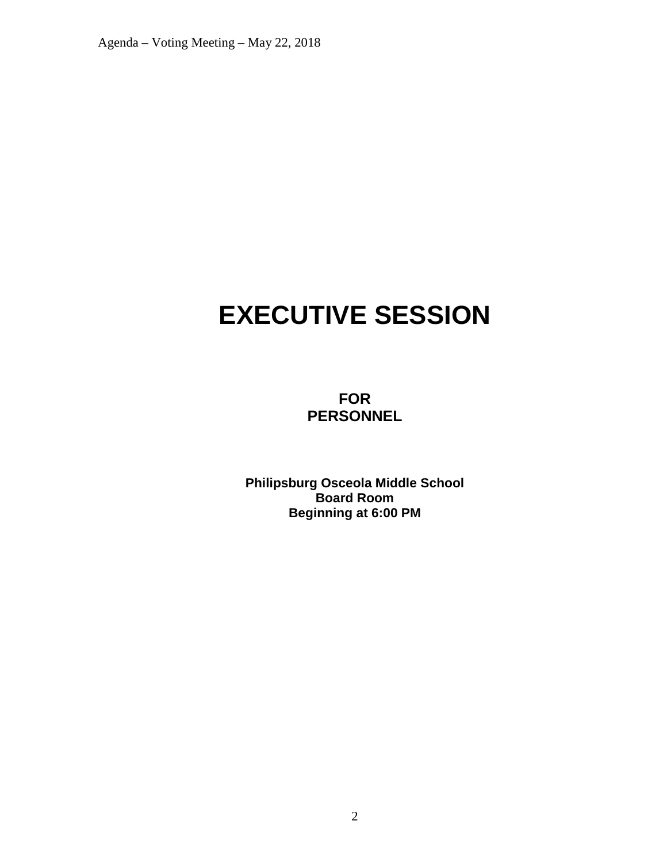Agenda – Voting Meeting – May 22, 2018

# **EXECUTIVE SESSION**

**FOR PERSONNEL**

**Philipsburg Osceola Middle School Board Room Beginning at 6:00 PM**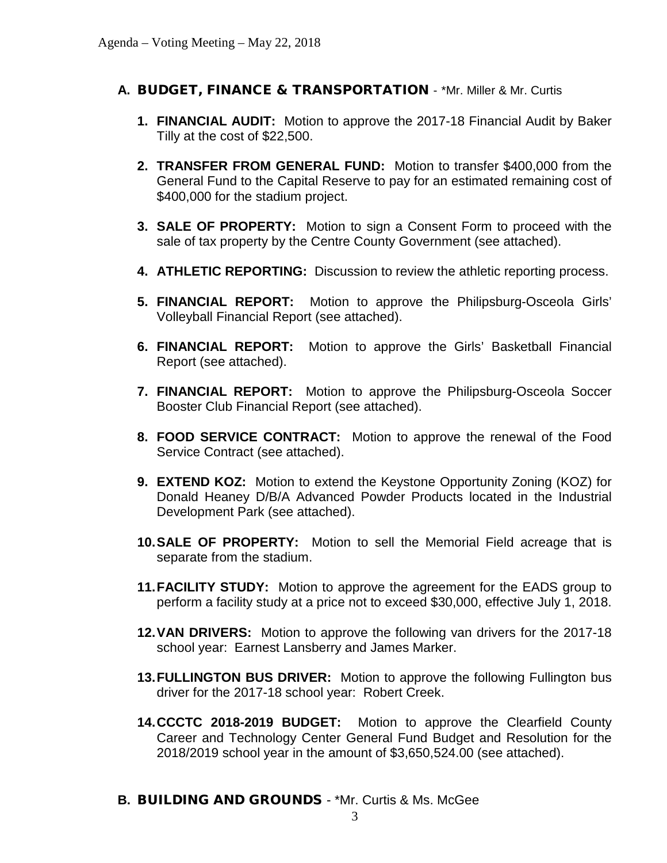## **A.** BUDGET, FINANCE & TRANSPORTATION - \*Mr. Miller & Mr. Curtis

- **1. FINANCIAL AUDIT:** Motion to approve the 2017-18 Financial Audit by Baker Tilly at the cost of \$22,500.
- **2. TRANSFER FROM GENERAL FUND:** Motion to transfer \$400,000 from the General Fund to the Capital Reserve to pay for an estimated remaining cost of \$400,000 for the stadium project.
- **3. SALE OF PROPERTY:** Motion to sign a Consent Form to proceed with the sale of tax property by the Centre County Government (see attached).
- **4. ATHLETIC REPORTING:** Discussion to review the athletic reporting process.
- **5. FINANCIAL REPORT:** Motion to approve the Philipsburg-Osceola Girls' Volleyball Financial Report (see attached).
- **6. FINANCIAL REPORT:** Motion to approve the Girls' Basketball Financial Report (see attached).
- **7. FINANCIAL REPORT:** Motion to approve the Philipsburg-Osceola Soccer Booster Club Financial Report (see attached).
- **8. FOOD SERVICE CONTRACT:** Motion to approve the renewal of the Food Service Contract (see attached).
- **9. EXTEND KOZ:** Motion to extend the Keystone Opportunity Zoning (KOZ) for Donald Heaney D/B/A Advanced Powder Products located in the Industrial Development Park (see attached).
- **10.SALE OF PROPERTY:** Motion to sell the Memorial Field acreage that is separate from the stadium.
- **11.FACILITY STUDY:** Motion to approve the agreement for the EADS group to perform a facility study at a price not to exceed \$30,000, effective July 1, 2018.
- **12.VAN DRIVERS:** Motion to approve the following van drivers for the 2017-18 school year: Earnest Lansberry and James Marker.
- **13.FULLINGTON BUS DRIVER:** Motion to approve the following Fullington bus driver for the 2017-18 school year: Robert Creek.
- **14.CCCTC 2018-2019 BUDGET:** Motion to approve the Clearfield County Career and Technology Center General Fund Budget and Resolution for the 2018/2019 school year in the amount of \$3,650,524.00 (see attached).
- **B.** BUILDING AND GROUNDS \*Mr. Curtis & Ms. McGee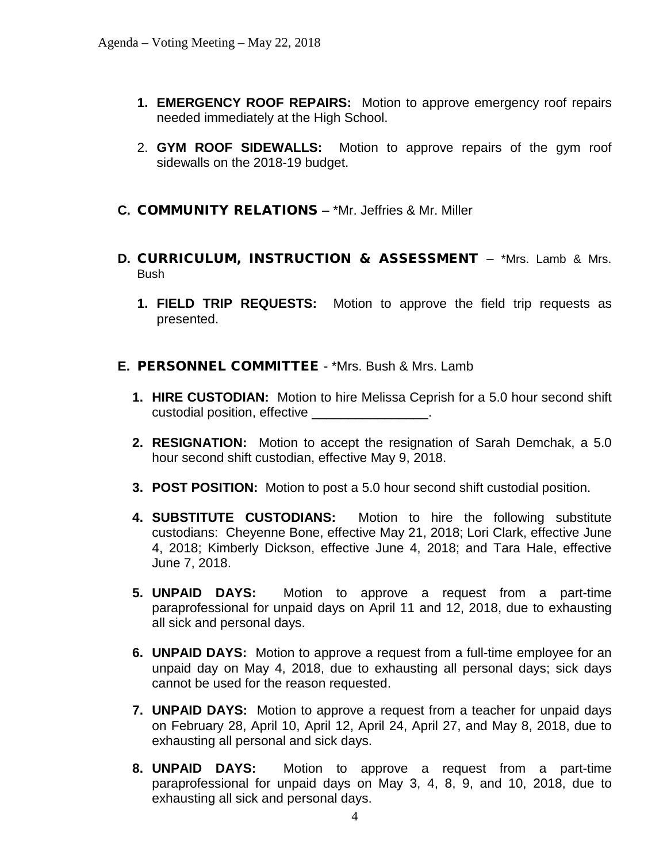- **1. EMERGENCY ROOF REPAIRS:** Motion to approve emergency roof repairs needed immediately at the High School.
- 2. **GYM ROOF SIDEWALLS:** Motion to approve repairs of the gym roof sidewalls on the 2018-19 budget.
- **C.** COMMUNITY RELATIONS \*Mr. Jeffries & Mr. Miller
- **D.** CURRICULUM, INSTRUCTION & ASSESSMENT \*Mrs. Lamb & Mrs. Bush
	- **1. FIELD TRIP REQUESTS:** Motion to approve the field trip requests as presented.

### **E.** PERSONNEL COMMITTEE - \*Mrs. Bush & Mrs. Lamb

- **1. HIRE CUSTODIAN:** Motion to hire Melissa Ceprish for a 5.0 hour second shift custodial position, effective \_\_\_\_\_\_\_\_\_\_\_\_\_\_\_\_.
- **2. RESIGNATION:** Motion to accept the resignation of Sarah Demchak, a 5.0 hour second shift custodian, effective May 9, 2018.
- **3. POST POSITION:** Motion to post a 5.0 hour second shift custodial position.
- **4. SUBSTITUTE CUSTODIANS:** Motion to hire the following substitute custodians: Cheyenne Bone, effective May 21, 2018; Lori Clark, effective June 4, 2018; Kimberly Dickson, effective June 4, 2018; and Tara Hale, effective June 7, 2018.
- **5. UNPAID DAYS:** Motion to approve a request from a part-time paraprofessional for unpaid days on April 11 and 12, 2018, due to exhausting all sick and personal days.
- **6. UNPAID DAYS:** Motion to approve a request from a full-time employee for an unpaid day on May 4, 2018, due to exhausting all personal days; sick days cannot be used for the reason requested.
- **7. UNPAID DAYS:** Motion to approve a request from a teacher for unpaid days on February 28, April 10, April 12, April 24, April 27, and May 8, 2018, due to exhausting all personal and sick days.
- **8. UNPAID DAYS:** Motion to approve a request from a part-time paraprofessional for unpaid days on May 3, 4, 8, 9, and 10, 2018, due to exhausting all sick and personal days.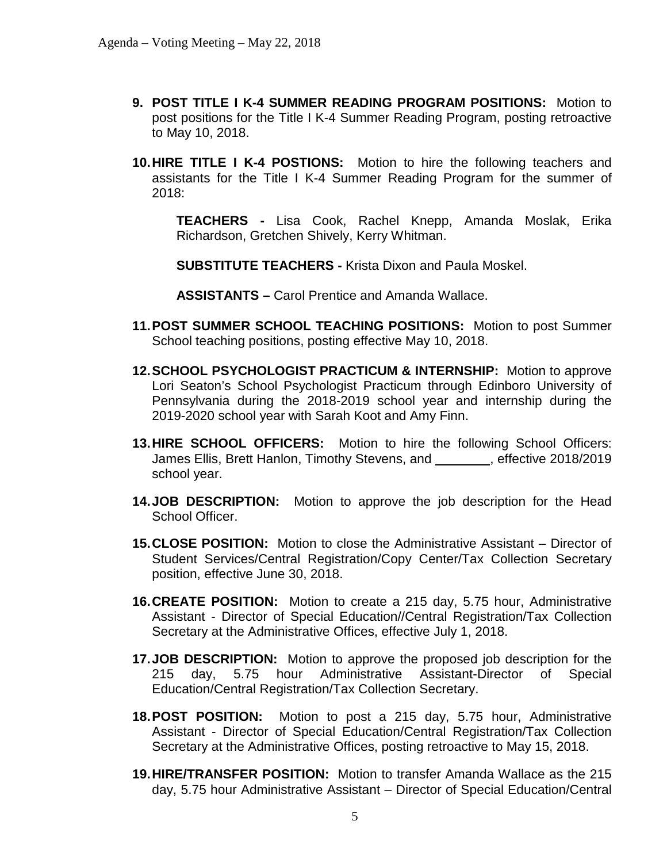- **9. POST TITLE I K-4 SUMMER READING PROGRAM POSITIONS:** Motion to post positions for the Title I K-4 Summer Reading Program, posting retroactive to May 10, 2018.
- **10.HIRE TITLE I K-4 POSTIONS:** Motion to hire the following teachers and assistants for the Title I K-4 Summer Reading Program for the summer of 2018:

**TEACHERS -** Lisa Cook, Rachel Knepp, Amanda Moslak, Erika Richardson, Gretchen Shively, Kerry Whitman.

**SUBSTITUTE TEACHERS -** Krista Dixon and Paula Moskel.

**ASSISTANTS –** Carol Prentice and Amanda Wallace.

- **11.POST SUMMER SCHOOL TEACHING POSITIONS:** Motion to post Summer School teaching positions, posting effective May 10, 2018.
- **12.SCHOOL PSYCHOLOGIST PRACTICUM & INTERNSHIP:** Motion to approve Lori Seaton's School Psychologist Practicum through Edinboro University of Pennsylvania during the 2018-2019 school year and internship during the 2019-2020 school year with Sarah Koot and Amy Finn.
- **13.HIRE SCHOOL OFFICERS:** Motion to hire the following School Officers: James Ellis, Brett Hanlon, Timothy Stevens, and , effective 2018/2019 school year.
- **14.JOB DESCRIPTION:** Motion to approve the job description for the Head School Officer.
- **15.CLOSE POSITION:** Motion to close the Administrative Assistant Director of Student Services/Central Registration/Copy Center/Tax Collection Secretary position, effective June 30, 2018.
- **16.CREATE POSITION:** Motion to create a 215 day, 5.75 hour, Administrative Assistant - Director of Special Education//Central Registration/Tax Collection Secretary at the Administrative Offices, effective July 1, 2018.
- **17.JOB DESCRIPTION:** Motion to approve the proposed job description for the 215 day, 5.75 hour Administrative Assistant-Director of Special Education/Central Registration/Tax Collection Secretary.
- **18.POST POSITION:** Motion to post a 215 day, 5.75 hour, Administrative Assistant - Director of Special Education/Central Registration/Tax Collection Secretary at the Administrative Offices, posting retroactive to May 15, 2018.
- **19.HIRE/TRANSFER POSITION:** Motion to transfer Amanda Wallace as the 215 day, 5.75 hour Administrative Assistant – Director of Special Education/Central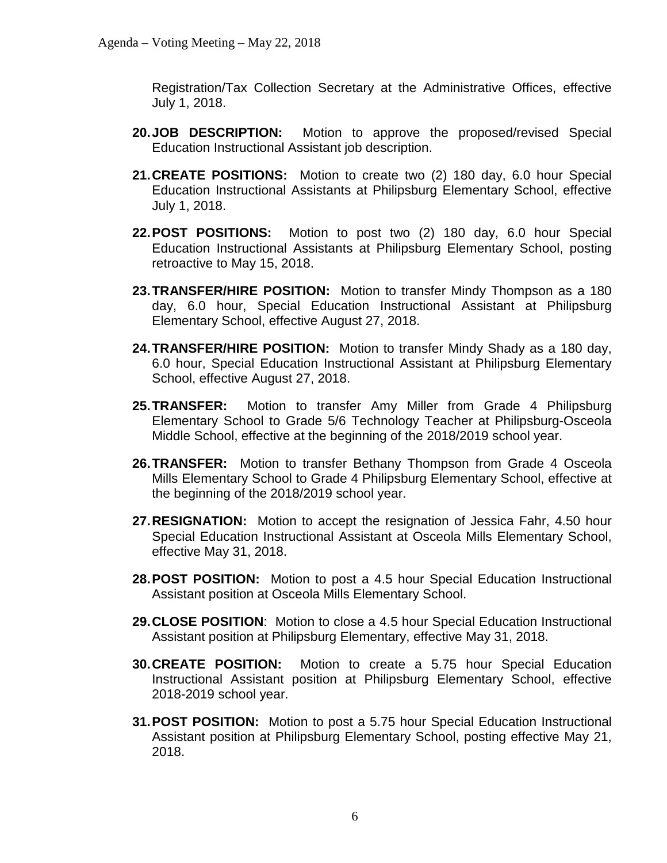Registration/Tax Collection Secretary at the Administrative Offices, effective July 1, 2018.

- **20.JOB DESCRIPTION:** Motion to approve the proposed/revised Special Education Instructional Assistant job description.
- **21.CREATE POSITIONS:** Motion to create two (2) 180 day, 6.0 hour Special Education Instructional Assistants at Philipsburg Elementary School, effective July 1, 2018.
- **22.POST POSITIONS:** Motion to post two (2) 180 day, 6.0 hour Special Education Instructional Assistants at Philipsburg Elementary School, posting retroactive to May 15, 2018.
- **23.TRANSFER/HIRE POSITION:** Motion to transfer Mindy Thompson as a 180 day, 6.0 hour, Special Education Instructional Assistant at Philipsburg Elementary School, effective August 27, 2018.
- **24.TRANSFER/HIRE POSITION:** Motion to transfer Mindy Shady as a 180 day, 6.0 hour, Special Education Instructional Assistant at Philipsburg Elementary School, effective August 27, 2018.
- **25.TRANSFER:** Motion to transfer Amy Miller from Grade 4 Philipsburg Elementary School to Grade 5/6 Technology Teacher at Philipsburg-Osceola Middle School, effective at the beginning of the 2018/2019 school year.
- **26.TRANSFER:** Motion to transfer Bethany Thompson from Grade 4 Osceola Mills Elementary School to Grade 4 Philipsburg Elementary School, effective at the beginning of the 2018/2019 school year.
- **27.RESIGNATION:** Motion to accept the resignation of Jessica Fahr, 4.50 hour Special Education Instructional Assistant at Osceola Mills Elementary School, effective May 31, 2018.
- **28.POST POSITION:** Motion to post a 4.5 hour Special Education Instructional Assistant position at Osceola Mills Elementary School.
- **29.CLOSE POSITION**: Motion to close a 4.5 hour Special Education Instructional Assistant position at Philipsburg Elementary, effective May 31, 2018.
- **30.CREATE POSITION:** Motion to create a 5.75 hour Special Education Instructional Assistant position at Philipsburg Elementary School, effective 2018-2019 school year.
- **31.POST POSITION:** Motion to post a 5.75 hour Special Education Instructional Assistant position at Philipsburg Elementary School, posting effective May 21, 2018.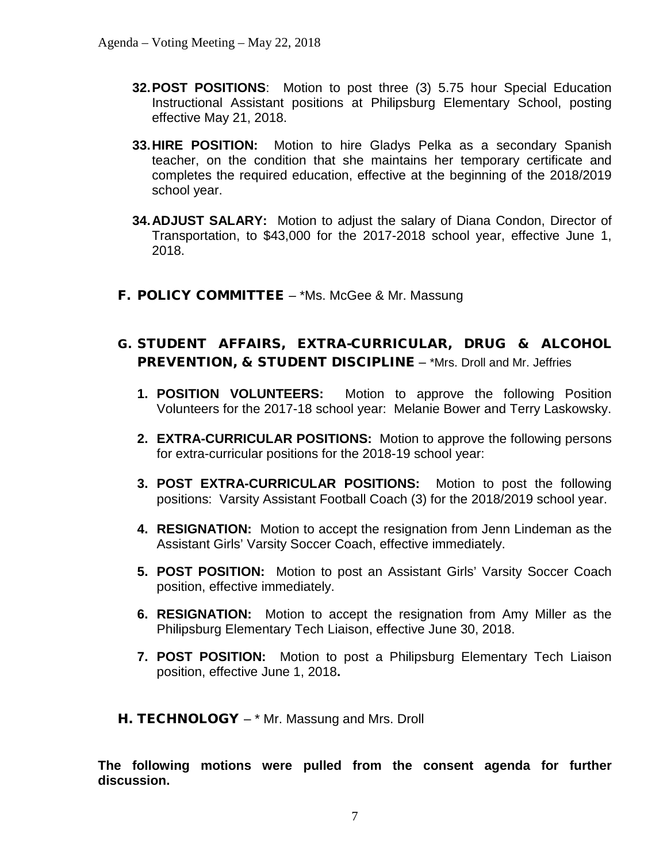- **32.POST POSITIONS**: Motion to post three (3) 5.75 hour Special Education Instructional Assistant positions at Philipsburg Elementary School, posting effective May 21, 2018.
- **33.HIRE POSITION:** Motion to hire Gladys Pelka as a secondary Spanish teacher, on the condition that she maintains her temporary certificate and completes the required education, effective at the beginning of the 2018/2019 school year.
- **34.ADJUST SALARY:** Motion to adjust the salary of Diana Condon, Director of Transportation, to \$43,000 for the 2017-2018 school year, effective June 1, 2018.
- F. POLICY COMMITTEE \*Ms. McGee & Mr. Massung
- G. STUDENT AFFAIRS, EXTRA-CURRICULAR, DRUG & ALCOHOL PREVENTION, & STUDENT DISCIPLINE - \*Mrs. Droll and Mr. Jeffries
	- **1. POSITION VOLUNTEERS:** Motion to approve the following Position Volunteers for the 2017-18 school year: Melanie Bower and Terry Laskowsky.
	- **2. EXTRA-CURRICULAR POSITIONS:** Motion to approve the following persons for extra-curricular positions for the 2018-19 school year:
	- **3. POST EXTRA-CURRICULAR POSITIONS:** Motion to post the following positions: Varsity Assistant Football Coach (3) for the 2018/2019 school year.
	- **4. RESIGNATION:** Motion to accept the resignation from Jenn Lindeman as the Assistant Girls' Varsity Soccer Coach, effective immediately.
	- **5. POST POSITION:** Motion to post an Assistant Girls' Varsity Soccer Coach position, effective immediately.
	- **6. RESIGNATION:** Motion to accept the resignation from Amy Miller as the Philipsburg Elementary Tech Liaison, effective June 30, 2018.
	- **7. POST POSITION:** Motion to post a Philipsburg Elementary Tech Liaison position, effective June 1, 2018**.**
- H. TECHNOLOGY \* Mr. Massung and Mrs. Droll

**The following motions were pulled from the consent agenda for further discussion.**